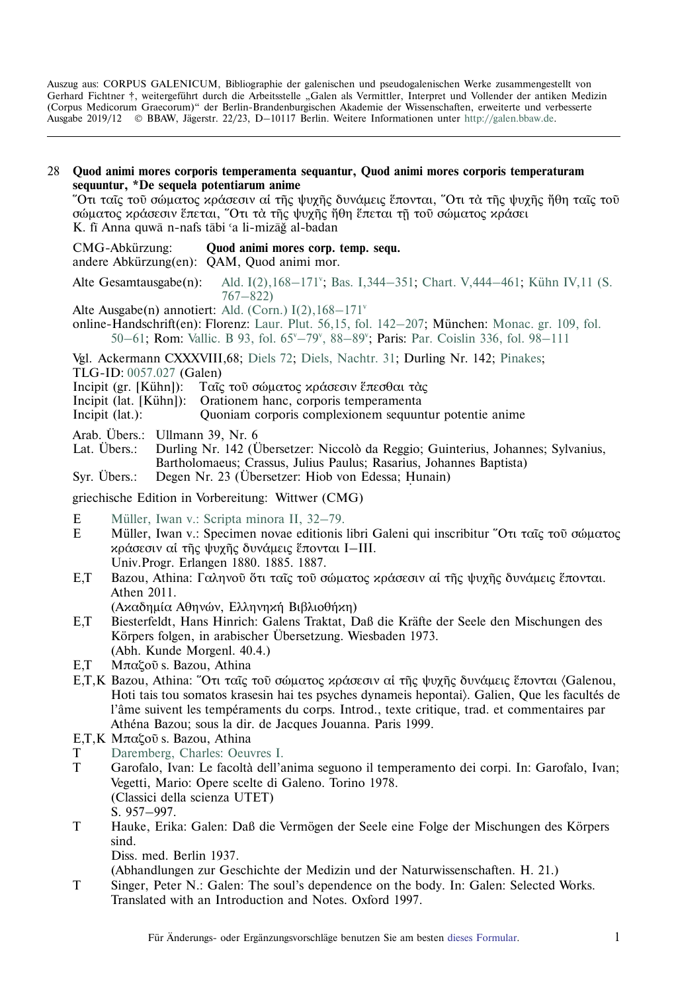Auszug aus: CORPUS GALENICUM, Bibliographie der galenischen und pseudogalenischen Werke zusammengestellt von Gerhard Fichtner †, weitergeführt durch die Arbeitsstelle "Galen als Vermittler, Interpret und Vollender der antiken Medizin (Corpus Medicorum Graecorum)" der Berlin-Brandenburgischen Akademie der Wissenschaften, erweiterte und verbesserte Ausgabe 2019/12 © BBAW, Jägerstr. 22/23, D–10117 Berlin. Weitere Informationen unter [http://galen.bbaw.de](ttp://galen.bbaw.de).

28 **Quod animi mores corporis temperamenta sequantur, Quod animi mores corporis temperaturam sequuntur, \*De sequela potentiarum anime** <u></u> Ότι ταῖς τοῦ σώματος κράσεσιν αἱ τῆς ψυχῆς δυνάμεις ἕπονται, Ὅτι τὰ τῆς ψυχῆς ἤθη ταῖς τοῦ σώματος κράσεσιν έπεται, Ότι τα της ψυχης ήθη έπεται τη του σώματος κράσει

K. fī Anna quwā n-nafs tābi 'a li-mizāğ al-badan

- CMG-Abkürzung: **Quod animi mores corp. temp. sequ.** andere Abkürzung(en): QAM, Quod animi mor.
- Alte Gesamtausgabe $(n)$ : Ald. I(2), 168-171<sup>v</sup>; Bas. I, 344-351; Chart. V, 444-461; Kühn IV, 11 (S. [767–822\)](http://www2.biusante.parisdescartes.fr/livanc/?cote=45674x04&p=770&do=page)
- Alte Ausgabe(n) annotiert: Ald. (Corn.)  $I(2)$ ,  $168-171^{\circ}$
- online-Handschrift(en): Florenz: [Laur. Plut. 56,15, fol. 142–207;](http://mss.bmlonline.it/s.aspx?Id=AWOIyQ1qI1A4r7GxMOtR&c=II.%20Galeni%20Liber%20quod%20animi%20mores%20sequuntur%20corporis%20temperamenta#/oro/289) München: [Monac. gr. 109, fol.](http://daten.digitale-sammlungen.de/0011/bsb00110098/images/index.html?id=00110098&groesser�&fip=eayayztssdasyztsweayaqrsqrsw&no=17&seite=104) 50-61; Rom: Vallic. B 93, fol. 65<sup>v</sup>-79°, 88-89°; Paris: Par. Coislin 336, fol. 98-111

Vgl. Ackermann CXXXVIII,68; [Diels 72](http://cmg.bbaw.de/epubl/online/diels_02.html?custom=1&pn=72&AnzFrames=1&dw=1625&dh=816); [Diels, Nachtr. 31;](http://cmg.bbaw.de/epubl/online/diels_04.html?custom=1&pn=31&anzframes=1&dw=1452&dh=816) Durling Nr. 142; [Pinakes;](http://pinakes.irht.cnrs.fr/notices/oeuvre/11937/) TLG-ID: [0057.027](http://stephanus.tlg.uci.edu/Iris/inst/browser.jsp#doc=tlg&aid=0057&wid=027&st=0&l=30) (Galen)

- Incipit (gr. [Kühn]): Ταῖς τοῦ σώματος κράσεσιν ἕπεσθαι τὰς
- Incipit (lat. [Kühn]): Orationem hanc, corporis temperamenta
- Incipit (lat.): Quoniam corporis complexionem sequuntur potentie anime
- Arab. Übers.: Ullmann 39, Nr. 6

Lat. Übers.: Durling Nr. 142 (Übersetzer: Niccolò da Reggio; Guinterius, Johannes; Sylvanius, Bartholomaeus; Crassus, Julius Paulus; Rasarius, Johannes Baptista)

Syr. Übers.: Degen Nr. 23 (Übersetzer: Hiob von Edessa; Hunain)

griechische Edition in Vorbereitung: Wittwer (CMG)

- E [Müller, Iwan v.: Scripta minora II, 32–79.](http://cmg.bbaw.de/epubl/online/wa_galen_scripta_min_2.php?custom=1&pn=126)
- E Müller, Iwan v.: Specimen novae editionis libri Galeni qui inscribitur Ότι ταῖς τοῦ σώματος κράσεσιν αί της ψυχης δυνάμεις έπονται I–III. Univ.Progr. Erlangen 1880. 1885. 1887.
- E,T Bazou, Athina: Γαληνοῦ ὅτι ταῖς τοῦ σώματος κράσεσιν αί της ψυχης δυνάμεις ἕπονται. Athen 2011.
	- (Ακαδημία Αθηνών, Ελληνηκή Βιβλιοθήκη)
- E,T Biesterfeldt, Hans Hinrich: Galens Traktat, Daß die Kräfte der Seele den Mischungen des Körpers folgen, in arabischer Übersetzung. Wiesbaden 1973. (Abh. Kunde Morgenl. 40.4.)
- E,T Μπαζοῦ s. Bazou, Athina
- E,T,K Bazou, Athina: "Ότι ταις του σώματος κράσεσιν αι της ψυχης δυνάμεις έπονται (Galenou, Hoti tais tou somatos krasesin hai tes psyches dynameis hepontai). Galien, Que les facultés de l'âme suivent les tempéraments du corps. Introd., texte critique, trad. et commentaires par Athéna Bazou; sous la dir. de Jacques Jouanna. Paris 1999.
- E,T, K Μπαζοῦ s. Bazou, Athina
- T [Daremberg, Charles: Oeuvres I.](http://opacplus.bsb-muenchen.de/title/BV009347829/ft/bsb10236008?page=71)
- T Garofalo, Ivan: Le facolta` dell'anima seguono il temperamento dei corpi. In: Garofalo, Ivan; Vegetti, Mario: Opere scelte di Galeno. Torino 1978. (Classici della scienza UTET) S. 957–997.
- T Hauke, Erika: Galen: Daß die Vermögen der Seele eine Folge der Mischungen des Körpers sind.

Diss. med. Berlin 1937.

(Abhandlungen zur Geschichte der Medizin und der Naturwissenschaften. H. 21.)

T Singer, Peter N.: Galen: The soul's dependence on the body. In: Galen: Selected Works. Translated with an Introduction and Notes. Oxford 1997.